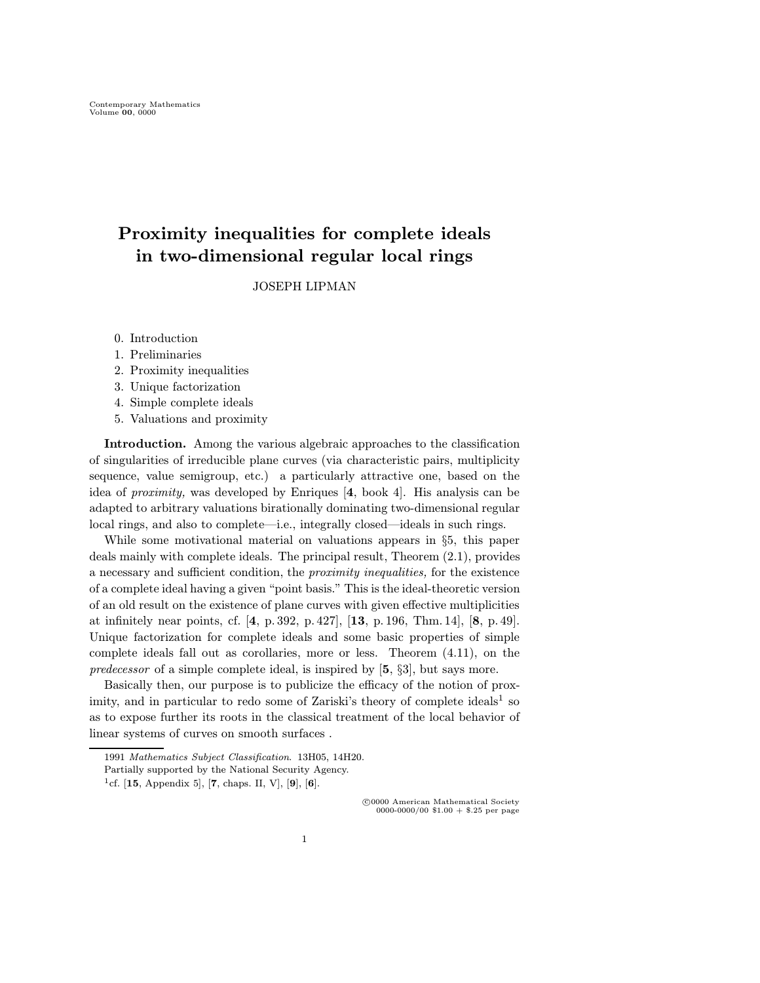# Proximity inequalities for complete ideals in two-dimensional regular local rings

JOSEPH LIPMAN

- 0. Introduction
- 1. Preliminaries
- 2. Proximity inequalities
- 3. Unique factorization
- 4. Simple complete ideals
- 5. Valuations and proximity

Introduction. Among the various algebraic approaches to the classification of singularities of irreducible plane curves (via characteristic pairs, multiplicity sequence, value semigroup, etc.) a particularly attractive one, based on the idea of proximity, was developed by Enriques [4, book 4]. His analysis can be adapted to arbitrary valuations birationally dominating two-dimensional regular local rings, and also to complete—i.e., integrally closed—ideals in such rings.

While some motivational material on valuations appears in §5, this paper deals mainly with complete ideals. The principal result, Theorem (2.1), provides a necessary and sufficient condition, the proximity inequalities, for the existence of a complete ideal having a given "point basis." This is the ideal-theoretic version of an old result on the existence of plane curves with given effective multiplicities at infinitely near points, cf. [4, p. 392, p. 427], [13, p. 196, Thm. 14], [8, p. 49]. Unique factorization for complete ideals and some basic properties of simple complete ideals fall out as corollaries, more or less. Theorem (4.11), on the predecessor of a simple complete ideal, is inspired by [5, §3], but says more.

Basically then, our purpose is to publicize the efficacy of the notion of proximity, and in particular to redo some of Zariski's theory of complete ideals<sup>1</sup> so as to expose further its roots in the classical treatment of the local behavior of linear systems of curves on smooth surfaces .

 c 0000 American Mathematical Society 0000-0000/00 \$1.00 + \$.25 per page

<sup>1991</sup> Mathematics Subject Classification. 13H05, 14H20.

Partially supported by the National Security Agency.

<sup>&</sup>lt;sup>1</sup>cf. [15, Appendix 5], [7, chaps. II, V], [9], [6].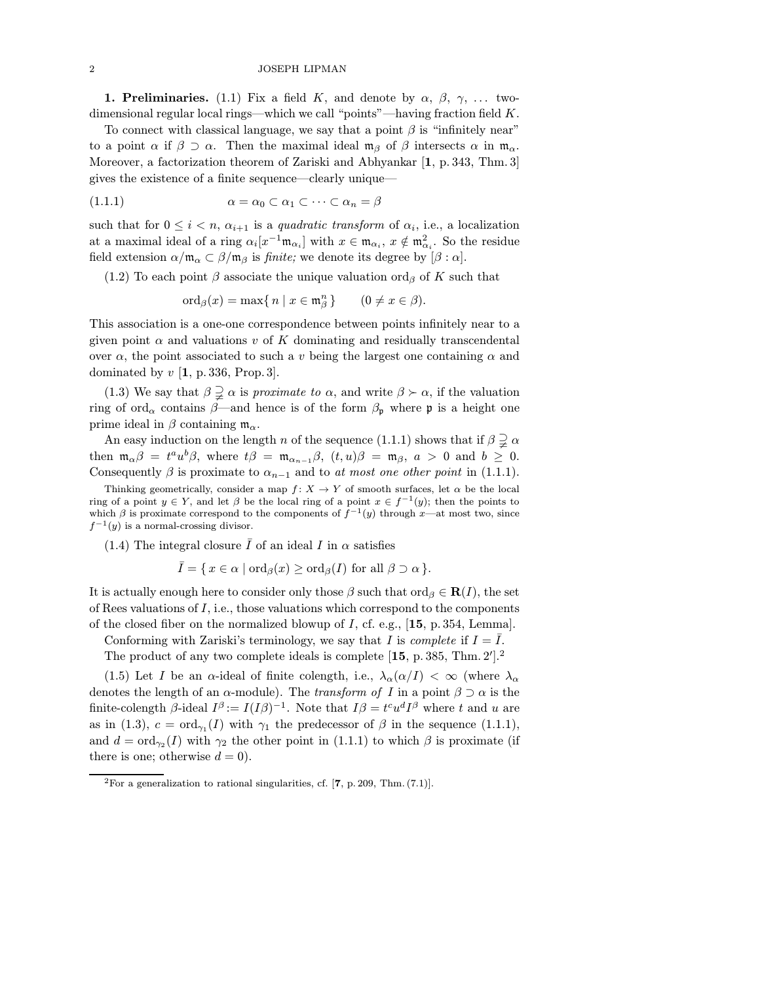### 2 JOSEPH LIPMAN

**1. Preliminaries.** (1.1) Fix a field K, and denote by  $\alpha$ ,  $\beta$ ,  $\gamma$ , ... twodimensional regular local rings—which we call "points"—having fraction field  $K$ .

To connect with classical language, we say that a point  $\beta$  is "infinitely near" to a point  $\alpha$  if  $\beta \supset \alpha$ . Then the maximal ideal  $\mathfrak{m}_{\beta}$  of  $\beta$  intersects  $\alpha$  in  $\mathfrak{m}_{\alpha}$ . Moreover, a factorization theorem of Zariski and Abhyankar [1, p. 343, Thm. 3] gives the existence of a finite sequence—clearly unique—

$$
(1.1.1) \qquad \alpha = \alpha_0 \subset \alpha_1 \subset \cdots \subset \alpha_n = \beta
$$

such that for  $0 \leq i < n$ ,  $\alpha_{i+1}$  is a quadratic transform of  $\alpha_i$ , i.e., a localization at a maximal ideal of a ring  $\alpha_i[x^{-1}\mathfrak{m}_{\alpha_i}]$  with  $x \in \mathfrak{m}_{\alpha_i}$ ,  $x \notin \mathfrak{m}_{\alpha_i}^2$ . So the residue field extension  $\alpha/\mathfrak{m}_{\alpha} \subset \beta/\mathfrak{m}_{\beta}$  is *finite*; we denote its degree by  $[\beta : \alpha]$ .

(1.2) To each point  $\beta$  associate the unique valuation ord<sub> $\beta$ </sub> of K such that

$$
\operatorname{ord}_{\beta}(x)=\max\{\,n\mid x\in\mathfrak{m}_{\beta}^n\,\}\qquad(0\neq x\in\beta).
$$

This association is a one-one correspondence between points infinitely near to a given point  $\alpha$  and valuations v of K dominating and residually transcendental over  $\alpha$ , the point associated to such a v being the largest one containing  $\alpha$  and dominated by  $v \left[1, p. 336, \text{Prop.}3\right]$ .

(1.3) We say that  $\beta \supsetneq \alpha$  is *proximate to*  $\alpha$ , and write  $\beta \succ \alpha$ , if the valuation ring of ord<sub>α</sub> contains  $\beta$ —and hence is of the form  $\beta_{p}$  where p is a height one prime ideal in  $\beta$  containing  $\mathfrak{m}_{\alpha}$ .

An easy induction on the length n of the sequence (1.1.1) shows that if  $\beta \supsetneq \alpha$ then  $\mathfrak{m}_{\alpha}\beta = t^a u^b \beta$ , where  $t\beta = \mathfrak{m}_{\alpha_{n-1}}\beta$ ,  $(t, u)\beta = \mathfrak{m}_{\beta}$ ,  $a > 0$  and  $b \geq 0$ . Consequently  $\beta$  is proximate to  $\alpha_{n-1}$  and to at most one other point in (1.1.1).

Thinking geometrically, consider a map  $f: X \to Y$  of smooth surfaces, let  $\alpha$  be the local ring of a point  $y \in Y$ , and let  $\beta$  be the local ring of a point  $x \in f^{-1}(y)$ ; then the points to which  $\beta$  is proximate correspond to the components of  $f^{-1}(y)$  through x—at most two, since  $f^{-1}(y)$  is a normal-crossing divisor.

(1.4) The integral closure  $\overline{I}$  of an ideal I in  $\alpha$  satisfies

 $\overline{I} = \{ x \in \alpha \mid \text{ord}_{\beta}(x) \geq \text{ord}_{\beta}(I) \text{ for all } \beta \supset \alpha \}.$ 

It is actually enough here to consider only those  $\beta$  such that ord $\beta \in \mathbf{R}(I)$ , the set of Rees valuations of  $I$ , i.e., those valuations which correspond to the components of the closed fiber on the normalized blowup of  $I$ , cf. e.g.,  $[15, p. 354, Lemma]$ .

Conforming with Zariski's terminology, we say that I is *complete* if  $I = \overline{I}$ .

The product of any two complete ideals is complete  $[15, p. 385, Thm. 2']$ .

(1.5) Let I be an  $\alpha$ -ideal of finite colength, i.e.,  $\lambda_{\alpha}(\alpha/I) < \infty$  (where  $\lambda_{\alpha}$ denotes the length of an  $\alpha$ -module). The *transform of I* in a point  $\beta \supset \alpha$  is the finite-colength  $\beta$ -ideal  $I^{\beta} := I(I\beta)^{-1}$ . Note that  $I\beta = t^c u^d I^{\beta}$  where t and u are as in (1.3),  $c = \text{ord}_{\gamma_1}(I)$  with  $\gamma_1$  the predecessor of  $\beta$  in the sequence (1.1.1), and  $d = \text{ord}_{\gamma_2}(I)$  with  $\gamma_2$  the other point in (1.1.1) to which  $\beta$  is proximate (if there is one; otherwise  $d = 0$ .

<sup>&</sup>lt;sup>2</sup>For a generalization to rational singularities, cf.  $[7, p. 209, Thm. (7.1)].$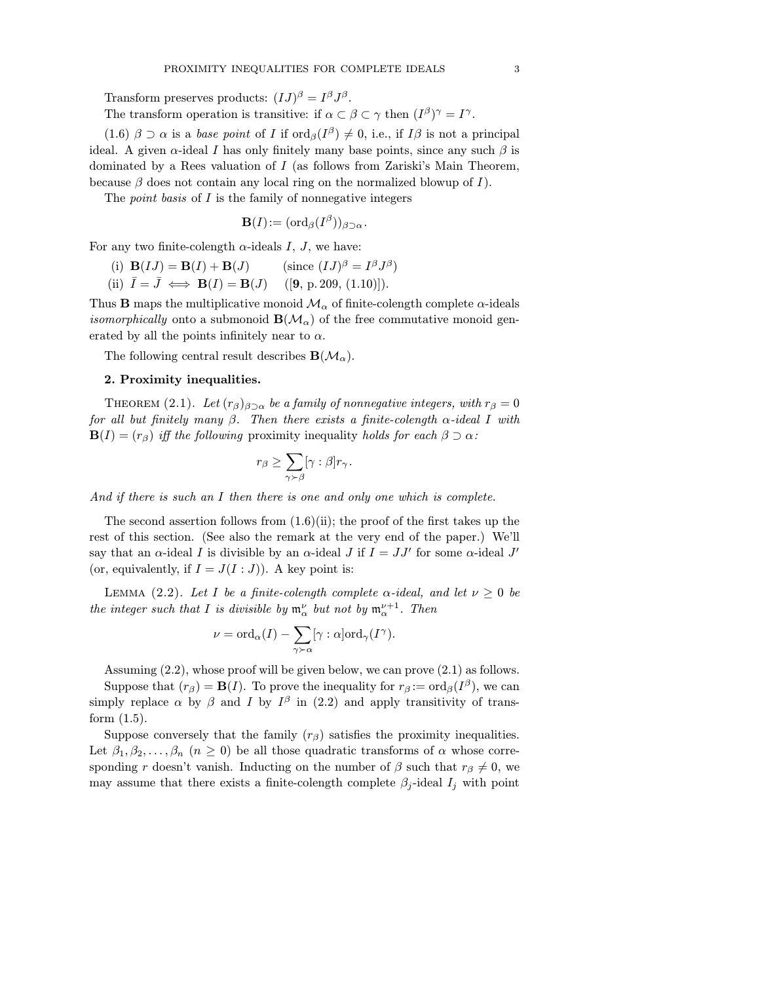Transform preserves products:  $(IJ)^\beta = I^\beta J^\beta$ .

The transform operation is transitive: if  $\alpha \subset \beta \subset \gamma$  then  $(I^{\beta})^{\gamma} = I^{\gamma}$ .

(1.6)  $\beta \supset \alpha$  is a base point of I if  $\text{ord}_{\beta}(I^{\beta}) \neq 0$ , i.e., if  $I\beta$  is not a principal ideal. A given  $\alpha$ -ideal I has only finitely many base points, since any such  $\beta$  is dominated by a Rees valuation of I (as follows from Zariski's Main Theorem, because  $\beta$  does not contain any local ring on the normalized blowup of I.

The *point basis* of  $I$  is the family of nonnegative integers

$$
\mathbf{B}(I):=(\mathrm{ord}_{\beta}(I^{\beta}))_{\beta\supset\alpha}.
$$

For any two finite-colength  $\alpha$ -ideals I, J, we have:

(i) 
$$
\mathbf{B}(IJ) = \mathbf{B}(I) + \mathbf{B}(J)
$$
 (since  $(IJ)^{\beta} = I^{\beta}J^{\beta}$ )

(ii)  $I = J \iff \mathbf{B}(I) = \mathbf{B}(J)$  ([9, p. 209, (1.10)]).

Thus **B** maps the multiplicative monoid  $\mathcal{M}_{\alpha}$  of finite-colength complete  $\alpha$ -ideals *isomorphically* onto a submonoid  $B(M_\alpha)$  of the free commutative monoid generated by all the points infinitely near to  $\alpha$ .

The following central result describes  $\mathbf{B}(\mathcal{M}_{\alpha}).$ 

## 2. Proximity inequalities.

THEOREM (2.1). Let  $(r_\beta)_{\beta \supset \alpha}$  be a family of nonnegative integers, with  $r_\beta = 0$ for all but finitely many  $\beta$ . Then there exists a finite-colength  $\alpha$ -ideal I with  $\mathbf{B}(I)=(r_{\beta})$  iff the following proximity inequality holds for each  $\beta \supset \alpha$ :

$$
r_{\beta}\geq \sum_{\gamma \succ \beta} [\gamma:\beta] r_{\gamma}.
$$

And if there is such an I then there is one and only one which is complete.

The second assertion follows from  $(1.6)(ii)$ ; the proof of the first takes up the rest of this section. (See also the remark at the very end of the paper.) We'll say that an  $\alpha$ -ideal I is divisible by an  $\alpha$ -ideal J if  $I = JJ'$  for some  $\alpha$ -ideal J' (or, equivalently, if  $I = J(I:J)$ ). A key point is:

LEMMA (2.2). Let I be a finite-colength complete  $\alpha$ -ideal, and let  $\nu \geq 0$  be the integer such that I is divisible by  $\mathfrak{m}_{\alpha}^{\nu}$  but not by  $\mathfrak{m}_{\alpha}^{\nu+1}$ . Then

$$
\nu={\rm ord}_{\alpha}(I)-\sum_{\gamma\succ\alpha}[\gamma:\alpha]{\rm ord}_{\gamma}(I^{\gamma}).
$$

Assuming (2.2), whose proof will be given below, we can prove (2.1) as follows.

Suppose that  $(r_\beta) = \mathbf{B}(I)$ . To prove the inequality for  $r_\beta := \text{ord}_\beta(I^\beta)$ , we can simply replace  $\alpha$  by  $\beta$  and I by  $I^{\beta}$  in (2.2) and apply transitivity of transform  $(1.5)$ .

Suppose conversely that the family  $(r_\beta)$  satisfies the proximity inequalities. Let  $\beta_1, \beta_2, \ldots, \beta_n$   $(n \geq 0)$  be all those quadratic transforms of  $\alpha$  whose corresponding r doesn't vanish. Inducting on the number of  $\beta$  such that  $r_{\beta} \neq 0$ , we may assume that there exists a finite-colength complete  $\beta_j$ -ideal  $I_j$  with point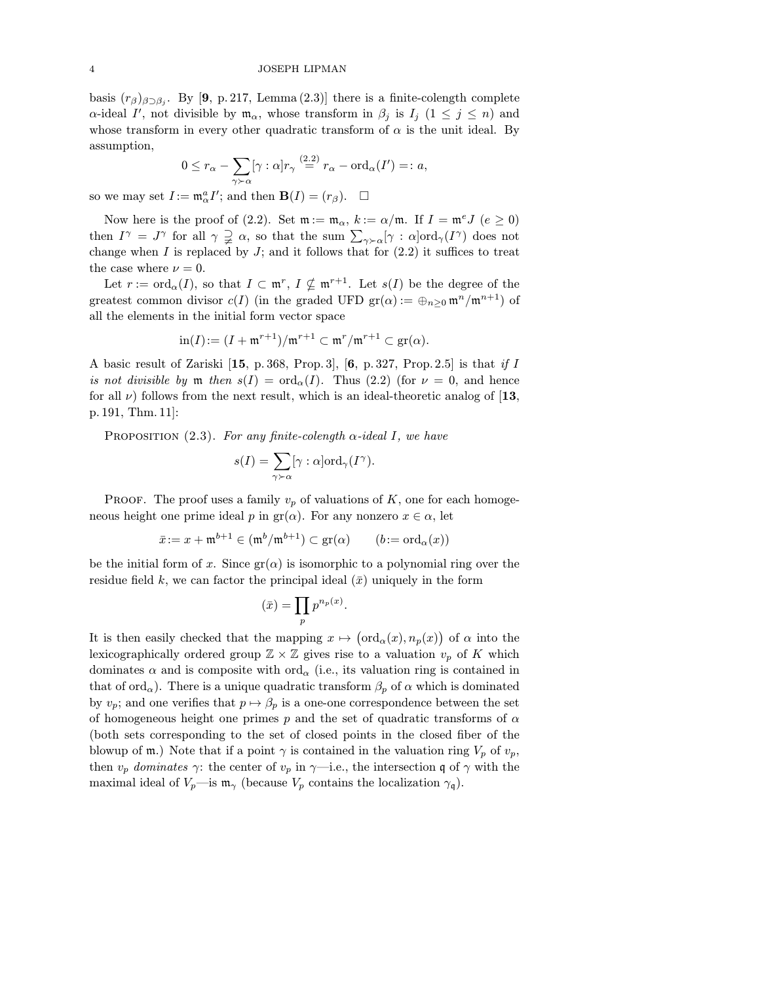basis  $(r_\beta)_{\beta \supset \beta_i}$ . By [9, p. 217, Lemma (2.3)] there is a finite-colength complete  $\alpha$ -ideal I', not divisible by  $\mathfrak{m}_{\alpha}$ , whose transform in  $\beta_j$  is  $I_j$   $(1 \leq j \leq n)$  and whose transform in every other quadratic transform of  $\alpha$  is the unit ideal. By assumption,

$$
0 \leq r_{\alpha} - \sum_{\gamma \succ \alpha} [\gamma : \alpha] r_{\gamma} \stackrel{(2.2)}{=} r_{\alpha} - \text{ord}_{\alpha}(I') =: a,
$$

so we may set  $I := \mathfrak{m}_{\alpha}^a I'$ ; and then  $\mathbf{B}(I) = (r_{\beta})$ .  $\Box$ 

Now here is the proof of (2.2). Set  $\mathfrak{m} := \mathfrak{m}_{\alpha}$ ,  $k := \alpha/\mathfrak{m}$ . If  $I = \mathfrak{m}^e J$  ( $e \ge 0$ ) then  $I^{\gamma} = J^{\gamma}$  for all  $\gamma \supsetneq \alpha$ , so that the sum  $\sum_{\gamma \succ \alpha} [\gamma : \alpha] \text{ord}_{\gamma}(I^{\gamma})$  does not change when  $I$  is replaced by  $J$ ; and it follows that for  $(2.2)$  it suffices to treat the case where  $\nu = 0$ .

Let  $r := \text{ord}_{\alpha}(I)$ , so that  $I \subset \mathfrak{m}^r$ ,  $I \nsubseteq \mathfrak{m}^{r+1}$ . Let  $s(I)$  be the degree of the greatest common divisor  $c(I)$  (in the graded UFD  $gr(\alpha) := \bigoplus_{n\geq 0} \mathfrak{m}^n / \mathfrak{m}^{n+1}$ ) of all the elements in the initial form vector space

$$
\operatorname{in}(I) := (I + \mathfrak{m}^{r+1})/\mathfrak{m}^{r+1} \subset \mathfrak{m}^r/\mathfrak{m}^{r+1} \subset \operatorname{gr}(\alpha).
$$

A basic result of Zariski [15, p. 368, Prop. 3], [6, p. 327, Prop. 2.5] is that if I is not divisible by m then  $s(I) = \text{ord}_{\alpha}(I)$ . Thus  $(2.2)$  (for  $\nu = 0$ , and hence for all  $\nu$ ) follows from the next result, which is an ideal-theoretic analog of [13, p. 191, Thm. 11]:

PROPOSITION  $(2.3)$ . For any finite-colength  $\alpha$ -ideal I, we have

$$
s(I) = \sum_{\gamma \succ \alpha} [\gamma : \alpha] \mathrm{ord}_{\gamma}(I^{\gamma}).
$$

**PROOF.** The proof uses a family  $v_p$  of valuations of K, one for each homogeneous height one prime ideal p in  $gr(\alpha)$ . For any nonzero  $x \in \alpha$ , let

$$
\bar{x} := x + \mathfrak{m}^{b+1} \in (\mathfrak{m}^b / \mathfrak{m}^{b+1}) \subset \text{gr}(\alpha) \qquad (b := \text{ord}_{\alpha}(x))
$$

be the initial form of x. Since  $\text{gr}(\alpha)$  is isomorphic to a polynomial ring over the residue field k, we can factor the principal ideal  $(\bar{x})$  uniquely in the form

$$
(\bar{x}) = \prod_p p^{n_p(x)}.
$$

It is then easily checked that the mapping  $x \mapsto (\text{ord}_\alpha(x), n_p(x))$  of  $\alpha$  into the lexicographically ordered group  $\mathbb{Z} \times \mathbb{Z}$  gives rise to a valuation  $v_p$  of K which dominates  $\alpha$  and is composite with ord<sub> $\alpha$ </sub> (i.e., its valuation ring is contained in that of ord<sub>α</sub>). There is a unique quadratic transform  $\beta_p$  of  $\alpha$  which is dominated by  $v_p$ ; and one verifies that  $p \mapsto \beta_p$  is a one-one correspondence between the set of homogeneous height one primes p and the set of quadratic transforms of  $\alpha$ (both sets corresponding to the set of closed points in the closed fiber of the blowup of m.) Note that if a point  $\gamma$  is contained in the valuation ring  $V_p$  of  $v_p$ , then  $v_p$  dominates  $\gamma$ : the center of  $v_p$  in  $\gamma$ —i.e., the intersection q of  $\gamma$  with the maximal ideal of  $V_p$ —is  $\mathfrak{m}_{\gamma}$  (because  $V_p$  contains the localization  $\gamma_q$ ).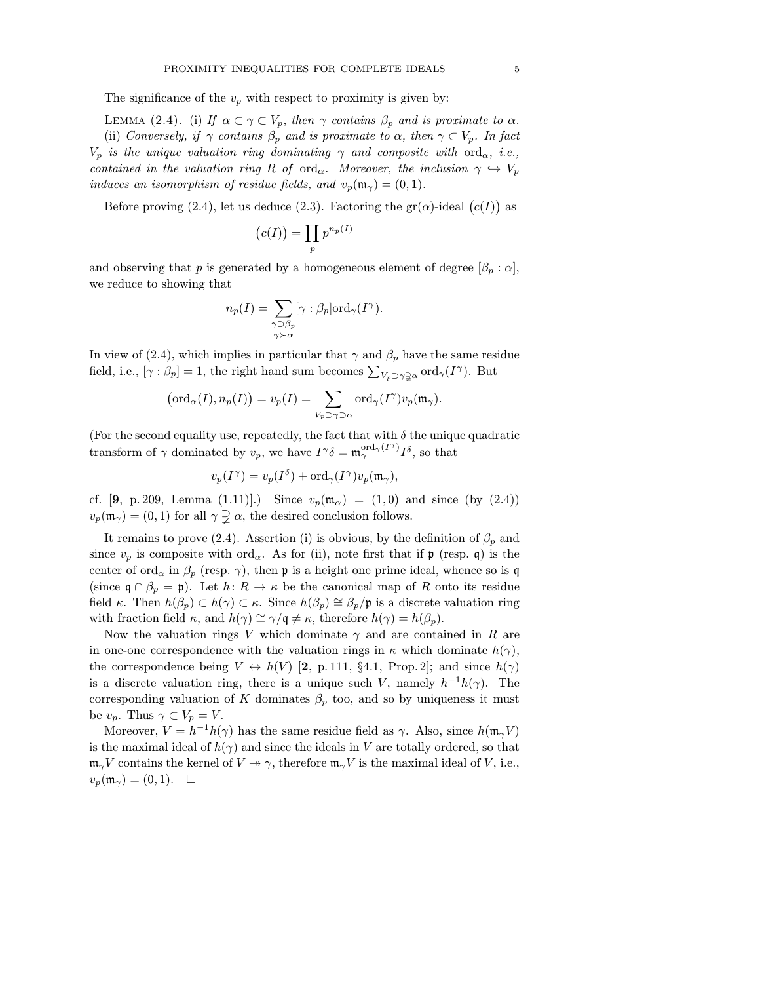The significance of the  $v_p$  with respect to proximity is given by:

LEMMA (2.4). (i) If  $\alpha \subset \gamma \subset V_p$ , then  $\gamma$  contains  $\beta_p$  and is proximate to  $\alpha$ . (ii) Conversely, if  $\gamma$  contains  $\beta_p$  and is proximate to  $\alpha$ , then  $\gamma \subset V_p$ . In fact  $V_p$  is the unique valuation ring dominating  $\gamma$  and composite with ord<sub> $\alpha$ </sub>, i.e., contained in the valuation ring R of ord<sub>α</sub>. Moreover, the inclusion  $\gamma \hookrightarrow V_p$ induces an isomorphism of residue fields, and  $v_p(\mathfrak{m}_{\gamma}) = (0,1)$ .

Before proving (2.4), let us deduce (2.3). Factoring the  $gr(\alpha)$ -ideal  $(c(I))$  as

$$
(c(I)) = \prod_p p^{n_p(I)}
$$

and observing that p is generated by a homogeneous element of degree  $[\beta_p : \alpha]$ , we reduce to showing that

$$
n_p(I) = \sum_{\substack{\gamma \supset \beta_p \\ \gamma \succ \alpha}} [\gamma : \beta_p] \text{ord}_{\gamma}(I^{\gamma}).
$$

In view of (2.4), which implies in particular that  $\gamma$  and  $\beta_p$  have the same residue field, i.e.,  $[\gamma : \beta_p] = 1$ , the right hand sum becomes  $\sum_{V_p \supset \gamma \supsetneq \alpha} \text{ord}_{\gamma}(I^{\gamma})$ . But

$$
\left(\mathrm{ord}_{\alpha}(I), n_{p}(I)\right) = v_{p}(I) = \sum_{V_{p} \supset \gamma \supset \alpha} \mathrm{ord}_{\gamma}(I^{\gamma}) v_{p}(\mathfrak{m}_{\gamma}).
$$

(For the second equality use, repeatedly, the fact that with  $\delta$  the unique quadratic transform of  $\gamma$  dominated by  $v_p$ , we have  $I^{\gamma}\delta = \mathfrak{m}_{\gamma}^{\text{ord}_{\gamma}(I^{\gamma})}I^{\delta}$ , so that

$$
v_p(I^{\gamma}) = v_p(I^{\delta}) + \text{ord}_{\gamma}(I^{\gamma})v_p(\mathfrak{m}_{\gamma}),
$$

cf. [9, p. 209, Lemma (1.11)].) Since  $v_p(\mathfrak{m}_{\alpha}) = (1,0)$  and since (by (2.4))  $v_p(\mathfrak{m}_{\gamma}) = (0, 1)$  for all  $\gamma \supsetneq \alpha$ , the desired conclusion follows.

It remains to prove (2.4). Assertion (i) is obvious, by the definition of  $\beta_p$  and since  $v_p$  is composite with ord<sub> $\alpha$ </sub>. As for (ii), note first that if  $\mathfrak p$  (resp. q) is the center of ord<sub>α</sub> in  $\beta_p$  (resp.  $\gamma$ ), then **p** is a height one prime ideal, whence so is q (since  $\mathfrak{q} \cap \beta_p = \mathfrak{p}$ ). Let  $h: R \to \kappa$  be the canonical map of R onto its residue field κ. Then  $h(\beta_p) \subset h(\gamma) \subset \kappa$ . Since  $h(\beta_p) \cong \beta_p/\mathfrak{p}$  is a discrete valuation ring with fraction field  $\kappa$ , and  $h(\gamma) \cong \gamma/\mathfrak{q} \neq \kappa$ , therefore  $h(\gamma) = h(\beta_p)$ .

Now the valuation rings V which dominate  $\gamma$  and are contained in R are in one-one correspondence with the valuation rings in  $\kappa$  which dominate  $h(\gamma)$ , the correspondence being  $V \leftrightarrow h(V)$  [2, p. 111, §4.1, Prop. 2]; and since  $h(\gamma)$ is a discrete valuation ring, there is a unique such V, namely  $h^{-1}h(\gamma)$ . The corresponding valuation of K dominates  $\beta_p$  too, and so by uniqueness it must be  $v_p$ . Thus  $\gamma \subset V_p = V$ .

Moreover,  $V = h^{-1}h(\gamma)$  has the same residue field as  $\gamma$ . Also, since  $h(\mathfrak{m}_{\gamma}V)$ is the maximal ideal of  $h(\gamma)$  and since the ideals in V are totally ordered, so that  $\mathfrak{m}_{\gamma}V$  contains the kernel of  $V \rightarrow \gamma$ , therefore  $\mathfrak{m}_{\gamma}V$  is the maximal ideal of V, i.e.,  $v_p(\mathfrak{m}_{\gamma}) = (0,1).$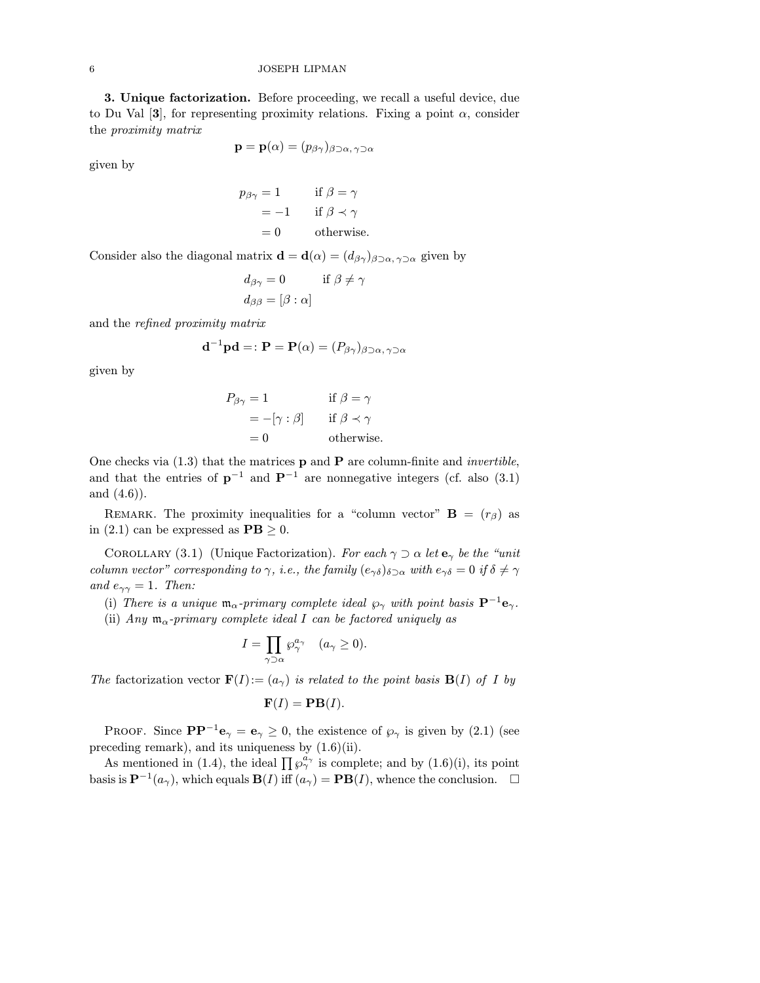3. Unique factorization. Before proceeding, we recall a useful device, due to Du Val [3], for representing proximity relations. Fixing a point  $\alpha$ , consider the proximity matrix

$$
\mathbf{p} = \mathbf{p}(\alpha) = (p_{\beta\gamma})_{\beta \supset \alpha, \gamma \supset \alpha}
$$

given by

$$
p_{\beta\gamma} = 1 \quad \text{if } \beta = \gamma
$$
  
= -1 if  $\beta \prec \gamma$   
= 0 otherwise.

Consider also the diagonal matrix  $\mathbf{d} = \mathbf{d}(\alpha) = (d_{\beta\gamma})_{\beta\supset\alpha,\gamma\supset\alpha}$  given by

$$
d_{\beta\gamma} = 0 \qquad \text{if } \beta \neq \gamma
$$
  

$$
d_{\beta\beta} = [\beta : \alpha]
$$

and the refined proximity matrix

$$
\mathbf{d}^{-1}\mathbf{p}\mathbf{d} =: \mathbf{P} = \mathbf{P}(\alpha) = (P_{\beta\gamma})_{\beta \supset \alpha, \gamma \supset \alpha}
$$

given by

$$
P_{\beta\gamma} = 1 \qquad \text{if } \beta = \gamma
$$
  
= -[\gamma : \beta] \qquad \text{if } \beta \prec \gamma  
= 0 \qquad \text{otherwise.}

One checks via  $(1.3)$  that the matrices **p** and **P** are column-finite and *invertible*, and that the entries of  $p^{-1}$  and  $P^{-1}$  are nonnegative integers (cf. also (3.1) and (4.6)).

REMARK. The proximity inequalities for a "column vector"  $\mathbf{B} = (r_{\beta})$  as in (2.1) can be expressed as  $\mathbf{PB} \geq 0$ .

COROLLARY (3.1) (Unique Factorization). For each  $\gamma \supset \alpha$  let  $\mathbf{e}_{\gamma}$  be the "unit" column vector" corresponding to  $\gamma$ , i.e., the family  $(e_{\gamma\delta})_{\delta\supset\alpha}$  with  $e_{\gamma\delta}=0$  if  $\delta\neq\gamma$ and  $e_{\gamma\gamma} = 1$ . Then:

(i) There is a unique  $\mathfrak{m}_{\alpha}$ -primary complete ideal  $\wp_{\gamma}$  with point basis  $\mathbf{P}^{-1}\mathbf{e}_{\gamma}$ .

(ii) Any  $m_{\alpha}$ -primary complete ideal I can be factored uniquely as

$$
I = \prod_{\gamma \supset \alpha} \wp_{\gamma}^{a_{\gamma}} \quad (a_{\gamma} \ge 0).
$$

The factorization vector  $\mathbf{F}(I) := (a_{\gamma})$  is related to the point basis  $\mathbf{B}(I)$  of I by

$$
\mathbf{F}(I)=\mathbf{PB}(I).
$$

PROOF. Since  $\mathbf{PP}^{-1}\mathbf{e}_{\gamma} = \mathbf{e}_{\gamma} \geq 0$ , the existence of  $\wp_{\gamma}$  is given by (2.1) (see preceding remark), and its uniqueness by (1.6)(ii).

As mentioned in (1.4), the ideal  $\prod \varphi_{\gamma}^{a_{\gamma}}$  is complete; and by (1.6)(i), its point basis is  $\mathbf{P}^{-1}(a_{\gamma})$ , which equals  $\mathbf{B}(I)$  iff  $(a_{\gamma}) = \mathbf{P}\mathbf{B}(I)$ , whence the conclusion.  $\square$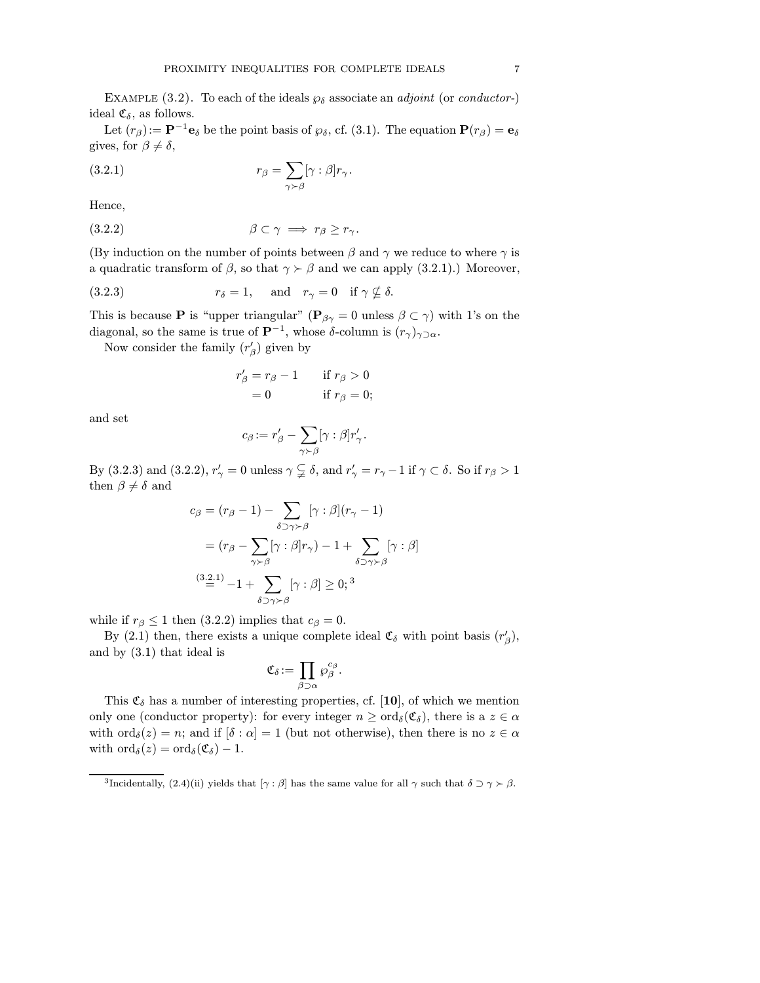EXAMPLE (3.2). To each of the ideals  $\wp_{\delta}$  associate an *adjoint* (or *conductor*-) ideal  $\mathfrak{C}_{\delta}$ , as follows.

Let  $(r_\beta):=\mathbf{P}^{-1}\mathbf{e}_\delta$  be the point basis of  $\wp_\delta$ , cf. (3.1). The equation  $\mathbf{P}(r_\beta)=\mathbf{e}_\delta$ gives, for  $\beta \neq \delta$ ,

(3.2.1) 
$$
r_{\beta} = \sum_{\gamma > \beta} [\gamma : \beta] r_{\gamma}.
$$

Hence,

(3.2.2) β ⊂ γ =⇒ r<sup>β</sup> ≥ r<sup>γ</sup> .

(By induction on the number of points between  $\beta$  and  $\gamma$  we reduce to where  $\gamma$  is a quadratic transform of  $\beta$ , so that  $\gamma \succ \beta$  and we can apply (3.2.1).) Moreover,

(3.2.3) 
$$
r_{\delta} = 1
$$
, and  $r_{\gamma} = 0$  if  $\gamma \nsubseteq \delta$ .

This is because **P** is "upper triangular" ( $\mathbf{P}_{\beta\gamma} = 0$  unless  $\beta \subset \gamma$ ) with 1's on the diagonal, so the same is true of  $\mathbf{P}^{-1}$ , whose  $\delta$ -column is  $(r_{\gamma})_{\gamma \supset \alpha}$ .

Now consider the family  $(r'_{\beta})$  given by

$$
r'_{\beta} = r_{\beta} - 1 \quad \text{if } r_{\beta} > 0
$$
  
= 0 \quad \text{if } r\_{\beta} = 0;

and set

$$
c_{\beta} := r'_{\beta} - \sum_{\gamma \succ \beta} [\gamma : \beta] r'_{\gamma}.
$$

By (3.2.3) and (3.2.2),  $r'_\gamma = 0$  unless  $\gamma \subsetneqq \delta$ , and  $r'_\gamma = r_\gamma - 1$  if  $\gamma \subset \delta$ . So if  $r_\beta > 1$ then  $\beta \neq \delta$  and

$$
c_{\beta} = (r_{\beta} - 1) - \sum_{\delta \supset \gamma \succ \beta} [\gamma : \beta](r_{\gamma} - 1)
$$
  
=  $(r_{\beta} - \sum_{\gamma \succ \beta} [\gamma : \beta]r_{\gamma}) - 1 + \sum_{\delta \supset \gamma \succ \beta} [\gamma : \beta]$   

$$
\stackrel{(3.2.1)}{=} -1 + \sum_{\delta \supset \gamma \succ \beta} [\gamma : \beta] \ge 0;^{3}
$$

while if  $r_\beta \leq 1$  then (3.2.2) implies that  $c_\beta = 0$ .

By (2.1) then, there exists a unique complete ideal  $\mathfrak{C}_{\delta}$  with point basis  $(r'_{\beta})$ , and by (3.1) that ideal is

$$
\mathfrak{C}_{\delta}:=\prod_{\beta\supset \alpha}\wp_{\beta}^{c_{\beta}}.
$$

This  $\mathfrak{C}_{\delta}$  has a number of interesting properties, cf. [10], of which we mention only one (conductor property): for every integer  $n \geq \text{ord}_{\delta}(\mathfrak{C}_{\delta})$ , there is a  $z \in \alpha$ with  $\text{ord}_{\delta}(z) = n$ ; and if  $[\delta : \alpha] = 1$  (but not otherwise), then there is no  $z \in \alpha$ with  $\text{ord}_{\delta}(z) = \text{ord}_{\delta}(\mathfrak{C}_{\delta}) - 1.$ 

<sup>&</sup>lt;sup>3</sup>Incidentally, (2.4)(ii) yields that  $[\gamma : \beta]$  has the same value for all  $\gamma$  such that  $\delta \supset \gamma \succ \beta$ .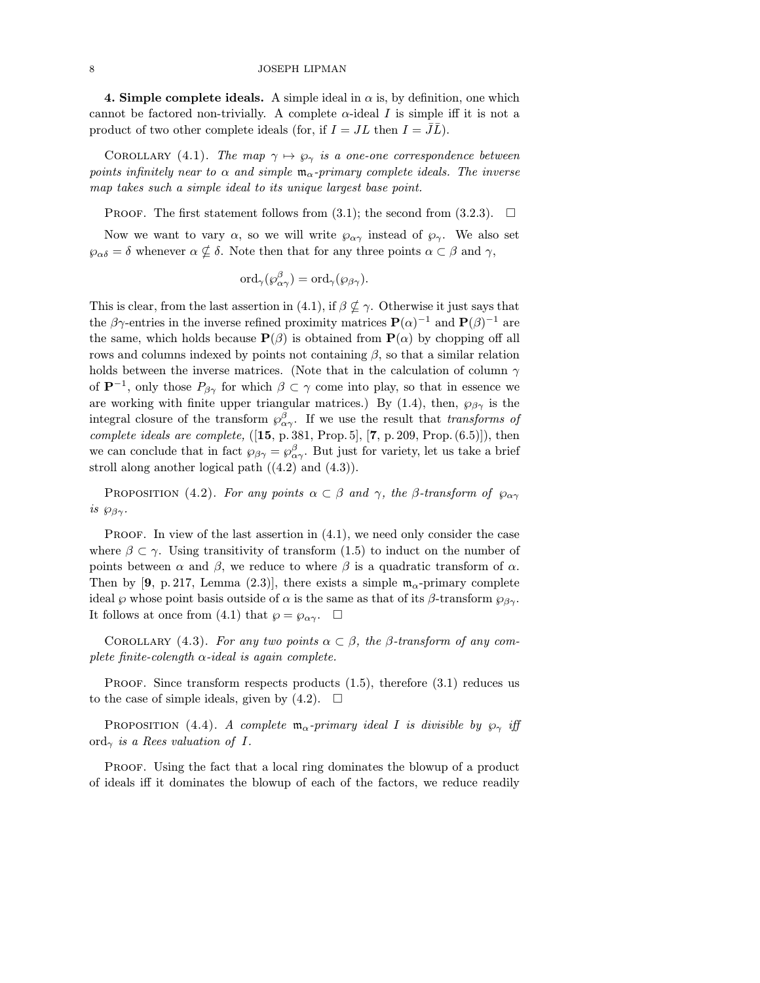4. Simple complete ideals. A simple ideal in  $\alpha$  is, by definition, one which cannot be factored non-trivially. A complete  $\alpha$ -ideal I is simple iff it is not a product of two other complete ideals (for, if  $I = JL$  then  $I = \bar{J}\bar{L}$ ).

COROLLARY (4.1). The map  $\gamma \mapsto \varphi_{\gamma}$  is a one-one correspondence between points infinitely near to  $\alpha$  and simple  $\mathfrak{m}_{\alpha}$ -primary complete ideals. The inverse map takes such a simple ideal to its unique largest base point.

PROOF. The first statement follows from (3.1); the second from (3.2.3).  $\Box$ 

Now we want to vary  $\alpha$ , so we will write  $\varphi_{\alpha\gamma}$  instead of  $\varphi_{\gamma}$ . We also set  $\wp_{\alpha\delta} = \delta$  whenever  $\alpha \nsubseteq \delta$ . Note then that for any three points  $\alpha \subset \beta$  and  $\gamma$ ,

$$
\mathrm{ord}_{\gamma}(\wp_{\alpha\gamma}^{\beta}) = \mathrm{ord}_{\gamma}(\wp_{\beta\gamma}).
$$

This is clear, from the last assertion in (4.1), if  $\beta \nsubseteq \gamma$ . Otherwise it just says that the  $\beta\gamma$ -entries in the inverse refined proximity matrices  ${\bf P}(\alpha)^{-1}$  and  ${\bf P}(\beta)^{-1}$  are the same, which holds because  $\mathbf{P}(\beta)$  is obtained from  $\mathbf{P}(\alpha)$  by chopping off all rows and columns indexed by points not containing  $\beta$ , so that a similar relation holds between the inverse matrices. (Note that in the calculation of column  $\gamma$ of  $\mathbf{P}^{-1}$ , only those  $P_{\beta\gamma}$  for which  $\beta \subset \gamma$  come into play, so that in essence we are working with finite upper triangular matrices.) By (1.4), then,  $\wp_{\beta\gamma}$  is the integral closure of the transform  $\wp^{\beta}_{\alpha\gamma}$ . If we use the result that transforms of complete ideals are complete,  $([15, p. 381, Prop.5], [7, p. 209, Prop. (6.5)]$ , then we can conclude that in fact  $\wp_{\beta\gamma} = \wp_{\alpha\gamma}^{\beta}$ . But just for variety, let us take a brief stroll along another logical path  $((4.2)$  and  $(4.3))$ .

PROPOSITION (4.2). For any points  $\alpha \subset \beta$  and  $\gamma$ , the  $\beta$ -transform of  $\wp_{\alpha\gamma}$ is  $\wp_{\beta\gamma}$ .

**PROOF.** In view of the last assertion in  $(4.1)$ , we need only consider the case where  $\beta \subset \gamma$ . Using transitivity of transform (1.5) to induct on the number of points between  $\alpha$  and  $\beta$ , we reduce to where  $\beta$  is a quadratic transform of  $\alpha$ . Then by [9, p. 217, Lemma (2.3)], there exists a simple  $m_{\alpha}$ -primary complete ideal  $\wp$  whose point basis outside of  $\alpha$  is the same as that of its  $\beta$ -transform  $\wp_{\beta\gamma}$ . It follows at once from (4.1) that  $\wp = \wp_{\alpha\gamma}$ .  $\Box$ 

COROLLARY (4.3). For any two points  $\alpha \subset \beta$ , the  $\beta$ -transform of any complete finite-colength  $\alpha$ -ideal is again complete.

PROOF. Since transform respects products  $(1.5)$ , therefore  $(3.1)$  reduces us to the case of simple ideals, given by  $(4.2)$ .  $\Box$ 

PROPOSITION (4.4). A complete  $\mathfrak{m}_{\alpha}$ -primary ideal I is divisible by  $\wp_{\gamma}$  iff ord<sub>γ</sub> is a Rees valuation of I.

Proof. Using the fact that a local ring dominates the blowup of a product of ideals iff it dominates the blowup of each of the factors, we reduce readily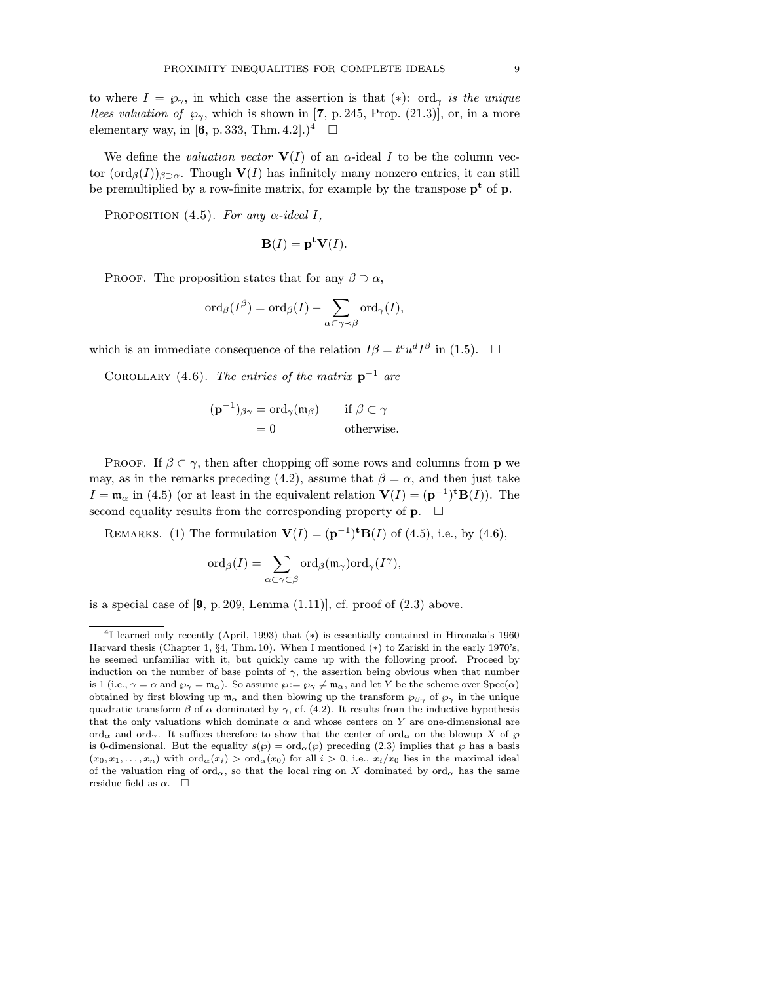to where  $I = \wp_{\gamma}$ , in which case the assertion is that (\*): ord<sub> $\gamma$ </sub> is the unique Rees valuation of  $\wp_{\gamma}$ , which is shown in [7, p. 245, Prop. (21.3)], or, in a more elementary way, in [6, p. 333, Thm. 4.2].)<sup>4</sup>  $\Box$ 

We define the valuation vector  $V(I)$  of an  $\alpha$ -ideal I to be the column vector  $(\text{ord}_{\beta}(I))_{\beta\supset\alpha}$ . Though  $\mathbf{V}(I)$  has infinitely many nonzero entries, it can still be premultiplied by a row-finite matrix, for example by the transpose  $p^t$  of p.

PROPOSITION  $(4.5)$ . For any  $\alpha$ -ideal I,

$$
\mathbf{B}(I) = \mathbf{p}^{\mathbf{t}} \mathbf{V}(I).
$$

PROOF. The proposition states that for any  $\beta \supset \alpha$ ,

$$
\operatorname{ord}_{\beta}(I^{\beta})=\operatorname{ord}_{\beta}(I)-\sum_{\alpha\subset\gamma\prec\beta}\operatorname{ord}_{\gamma}(I),
$$

which is an immediate consequence of the relation  $I\beta = t^c u^d I^{\beta}$  in (1.5).  $\Box$ 

COROLLARY (4.6). The entries of the matrix  $p^{-1}$  are

$$
(\mathbf{p}^{-1})_{\beta\gamma} = \operatorname{ord}_{\gamma}(\mathfrak{m}_{\beta}) \quad \text{if } \beta \subset \gamma
$$
  
= 0 \quad \text{otherwise.}

PROOF. If  $\beta \subset \gamma$ , then after chopping off some rows and columns from **p** we may, as in the remarks preceding (4.2), assume that  $\beta = \alpha$ , and then just take  $I = \mathfrak{m}_{\alpha}$  in (4.5) (or at least in the equivalent relation  $\mathbf{V}(I) = (\mathbf{p}^{-1})^{\mathbf{t}} \mathbf{B}(I)$ ). The second equality results from the corresponding property of  $\mathbf{p}$ .  $\Box$ 

REMARKS. (1) The formulation  $\mathbf{V}(I)=(p^{-1})^{\mathbf{t}}\mathbf{B}(I)$  of (4.5), i.e., by (4.6),

$$
\mathrm{ord}_{\beta}(I)=\sum_{\alpha\subset\gamma\subset\beta}\mathrm{ord}_{\beta}(\mathfrak{m}_{\gamma})\mathrm{ord}_{\gamma}(I^{\gamma}),
$$

is a special case of  $[9, p. 209, \text{Lemma } (1.11)]$ , cf. proof of  $(2.3)$  above.

<sup>4</sup>I learned only recently (April, 1993) that (∗) is essentially contained in Hironaka's 1960 Harvard thesis (Chapter 1, §4, Thm. 10). When I mentioned (∗) to Zariski in the early 1970's, he seemed unfamiliar with it, but quickly came up with the following proof. Proceed by induction on the number of base points of  $\gamma$ , the assertion being obvious when that number is 1 (i.e.,  $\gamma = \alpha$  and  $\wp_{\gamma} = \mathfrak{m}_{\alpha}$ ). So assume  $\wp := \wp_{\gamma} \neq \mathfrak{m}_{\alpha}$ , and let Y be the scheme over  $Spec(\alpha)$ obtained by first blowing up  $m_{\alpha}$  and then blowing up the transform  $\wp_{\beta\gamma}$  of  $\wp_{\gamma}$  in the unique quadratic transform  $\beta$  of  $\alpha$  dominated by  $\gamma$ , cf. (4.2). It results from the inductive hypothesis that the only valuations which dominate  $\alpha$  and whose centers on Y are one-dimensional are ord<sub>α</sub> and ord<sub>α</sub>. It suffices therefore to show that the center of ord<sub>α</sub> on the blowup X of  $\wp$ is 0-dimensional. But the equality  $s(\wp) = \text{ord}_{\alpha}(\wp)$  preceding (2.3) implies that  $\wp$  has a basis  $(x_0, x_1, \ldots, x_n)$  with  $\text{ord}_\alpha(x_i) > \text{ord}_\alpha(x_0)$  for all  $i > 0$ , i.e.,  $x_i/x_0$  lies in the maximal ideal of the valuation ring of  $\text{ord}_{\alpha}$ , so that the local ring on X dominated by  $\text{ord}_{\alpha}$  has the same residue field as  $\alpha$ .  $\square$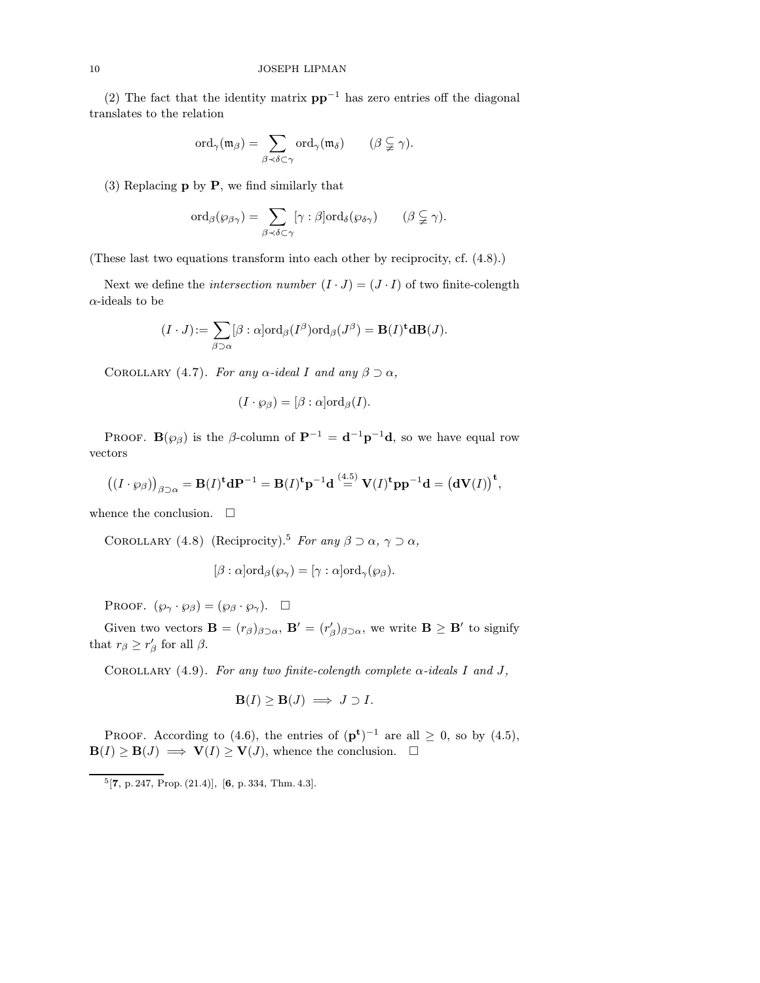(2) The fact that the identity matrix  $pp^{-1}$  has zero entries off the diagonal translates to the relation

$$
\mathrm{ord}_\gamma(\mathfrak{m}_\beta)=\sum_{\beta\prec\delta\subset\gamma}\mathrm{ord}_\gamma(\mathfrak{m}_\delta)\qquad(\beta\subsetneqq\gamma).
$$

(3) Replacing p by P, we find similarly that

$$
\mathrm{ord}_{\beta}(\wp_{\beta \gamma}) = \sum_{\beta \prec \delta \subset \gamma} [\gamma : \beta] \mathrm{ord}_{\delta}(\wp_{\delta \gamma}) \qquad (\beta \subsetneqq \gamma).
$$

(These last two equations transform into each other by reciprocity, cf. (4.8).)

Next we define the *intersection number*  $(I \cdot J) = (J \cdot I)$  of two finite-colength  $\alpha$ -ideals to be

$$
(I \cdot J) := \sum_{\beta \supset \alpha} [\beta : \alpha] \text{ord}_{\beta}(I^{\beta}) \text{ord}_{\beta}(J^{\beta}) = \mathbf{B}(I)^{\mathbf{t}} \mathbf{d} \mathbf{B}(J).
$$

COROLLARY (4.7). For any  $\alpha$ -ideal I and any  $\beta \supset \alpha$ ,

$$
(I \cdot \wp_{\beta}) = [\beta : \alpha] \text{ord}_{\beta}(I).
$$

PROOF. B( $\wp_{\beta}$ ) is the β-column of  $\mathbf{P}^{-1} = \mathbf{d}^{-1}\mathbf{p}^{-1}\mathbf{d}$ , so we have equal row vectors

$$
((I \cdot \wp_{\beta}))_{\beta \supset \alpha} = \mathbf{B}(I)^{\mathbf{t}} d\mathbf{P}^{-1} = \mathbf{B}(I)^{\mathbf{t}} \mathbf{p}^{-1} d \stackrel{(4.5)}{=} \mathbf{V}(I)^{\mathbf{t}} \mathbf{p} \mathbf{p}^{-1} d = (d\mathbf{V}(I))^{\mathbf{t}},
$$

whence the conclusion.  $\square$ 

COROLLARY (4.8) (Reciprocity).<sup>5</sup> For any  $\beta \supset \alpha$ ,  $\gamma \supset \alpha$ ,

$$
[\beta : \alpha] \text{ord}_{\beta}(\wp_{\gamma}) = [\gamma : \alpha] \text{ord}_{\gamma}(\wp_{\beta}).
$$

PROOF.  $(\wp_{\gamma} \cdot \wp_{\beta}) = (\wp_{\beta} \cdot \wp_{\gamma})$ .  $\Box$ 

Given two vectors  $\mathbf{B} = (r_{\beta})_{\beta \supset \alpha}$ ,  $\mathbf{B}' = (r'_{\beta})_{\beta \supset \alpha}$ , we write  $\mathbf{B} \geq \mathbf{B}'$  to signify that  $r_{\beta} \geq r_{\beta}'$  for all  $\beta$ .

COROLLARY (4.9). For any two finite-colength complete  $\alpha$ -ideals I and J,

$$
\mathbf{B}(I) \ge \mathbf{B}(J) \implies J \supset I.
$$

PROOF. According to (4.6), the entries of  $(\mathbf{p}^{\mathbf{t}})^{-1}$  are all  $\geq 0$ , so by (4.5),  $\mathbf{B}(I) \geq \mathbf{B}(J) \implies \mathbf{V}(I) \geq \mathbf{V}(J)$ , whence the conclusion.  $\Box$ 

 $5[7, p. 247, Prop. (21.4)], [6, p. 334, Thm. 4.3].$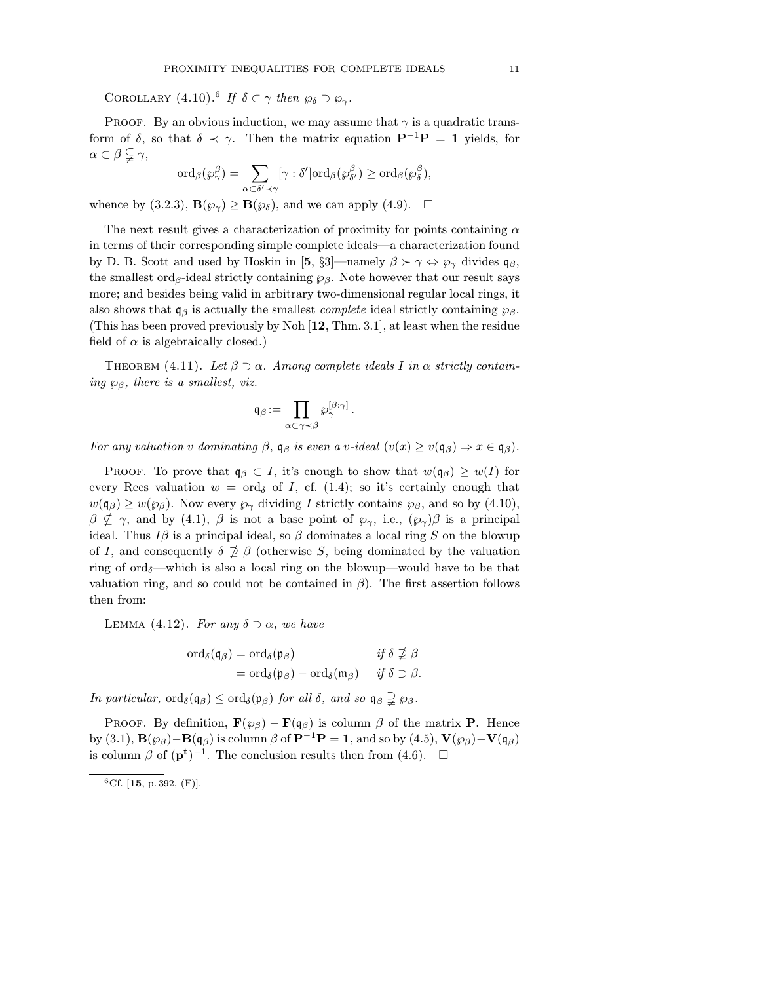COROLLARY  $(4.10)$ .<sup>6</sup> If  $\delta \subset \gamma$  then  $\wp_{\delta} \supset \wp_{\gamma}$ .

PROOF. By an obvious induction, we may assume that  $\gamma$  is a quadratic transform of  $\delta$ , so that  $\delta \prec \gamma$ . Then the matrix equation  $\mathbf{P}^{-1}\mathbf{P} = \mathbf{1}$  yields, for  $\alpha \subset \beta \subsetneqq \gamma$ ,

$$
\mathrm{ord}_{\beta}({\wp}_{\gamma}^{\beta})=\sum_{\alpha\subset\delta'\prec\gamma}[\gamma:\delta']\mathrm{ord}_{\beta}({\wp}_{\delta'}^{\beta})\geq \mathrm{ord}_{\beta}({\wp}_{\delta}^{\beta}),
$$

whence by (3.2.3),  $\mathbf{B}(\varphi_{\gamma}) \geq \mathbf{B}(\varphi_{\delta})$ , and we can apply (4.9).  $\Box$ 

The next result gives a characterization of proximity for points containing  $\alpha$ in terms of their corresponding simple complete ideals—a characterization found by D. B. Scott and used by Hoskin in [5, §3]—namely  $\beta \succ \gamma \Leftrightarrow \wp_{\gamma}$  divides  $\mathfrak{q}_{\beta}$ , the smallest ord<sub>β</sub>-ideal strictly containing  $\wp_\beta$ . Note however that our result says more; and besides being valid in arbitrary two-dimensional regular local rings, it also shows that  $\mathfrak{q}_{\beta}$  is actually the smallest *complete* ideal strictly containing  $\wp_{\beta}$ . (This has been proved previously by Noh [12, Thm. 3.1], at least when the residue field of  $\alpha$  is algebraically closed.)

THEOREM (4.11). Let  $\beta \supset \alpha$ . Among complete ideals I in  $\alpha$  strictly containing  $\wp_{\beta}$ , there is a smallest, viz.

$$
\mathfrak{q}_{\beta}:=\prod_{\alpha\subset\gamma\prec\beta}\wp_{\gamma}^{[\beta:\gamma]}\,.
$$

For any valuation v dominating  $\beta$ ,  $\mathfrak{q}_{\beta}$  is even a v-ideal  $(v(x) \geq v(\mathfrak{q}_{\beta}) \Rightarrow x \in \mathfrak{q}_{\beta})$ .

PROOF. To prove that  $\mathfrak{q}_{\beta} \subset I$ , it's enough to show that  $w(\mathfrak{q}_{\beta}) \geq w(I)$  for every Rees valuation  $w = \text{ord}_{\delta}$  of I, cf. (1.4); so it's certainly enough that  $w(\mathfrak{q}_{\beta}) \geq w(\wp_{\beta})$ . Now every  $\wp_{\gamma}$  dividing I strictly contains  $\wp_{\beta}$ , and so by (4.10),  $\beta \nsubseteq \gamma$ , and by (4.1),  $\beta$  is not a base point of  $\wp_{\gamma}$ , i.e.,  $(\wp_{\gamma})\beta$  is a principal ideal. Thus  $I\beta$  is a principal ideal, so  $\beta$  dominates a local ring S on the blowup of I, and consequently  $\delta \not\supseteq \beta$  (otherwise S, being dominated by the valuation ring of ord $\delta$ —which is also a local ring on the blowup—would have to be that valuation ring, and so could not be contained in  $\beta$ ). The first assertion follows then from:

LEMMA (4.12). For any  $\delta \supset \alpha$ , we have

$$
\begin{aligned}\n\text{ord}_{\delta}(\mathfrak{q}_{\beta}) &= \text{ord}_{\delta}(\mathfrak{p}_{\beta}) &\text{if } \delta \nsupseteq \beta \\
&= \text{ord}_{\delta}(\mathfrak{p}_{\beta}) - \text{ord}_{\delta}(\mathfrak{m}_{\beta}) &\text{if } \delta \supseteq \beta.\n\end{aligned}
$$

In particular,  $\text{ord}_{\delta}(\mathfrak{q}_{\beta}) \leq \text{ord}_{\delta}(\mathfrak{p}_{\beta})$  for all  $\delta$ , and so  $\mathfrak{q}_{\beta} \supsetneq \wp_{\beta}$ .

PROOF. By definition,  $\mathbf{F}(\varphi_{\beta}) - \mathbf{F}(\mathfrak{q}_{\beta})$  is column  $\beta$  of the matrix **P**. Hence by (3.1),  $\mathbf{B}(\wp_\beta)-\mathbf{B}(\mathfrak{q}_\beta)$  is column  $\beta$  of  $\mathbf{P}^{-1}\mathbf{P} = \mathbf{1}$ , and so by (4.5),  $\mathbf{V}(\wp_\beta)-\mathbf{V}(\mathfrak{q}_\beta)$ is column  $\beta$  of  $(\mathbf{p}^{\mathbf{t}})^{-1}$ . The conclusion results then from (4.6).  $\Box$ 

 ${}^{6}$ Cf. [15, p. 392, (F)].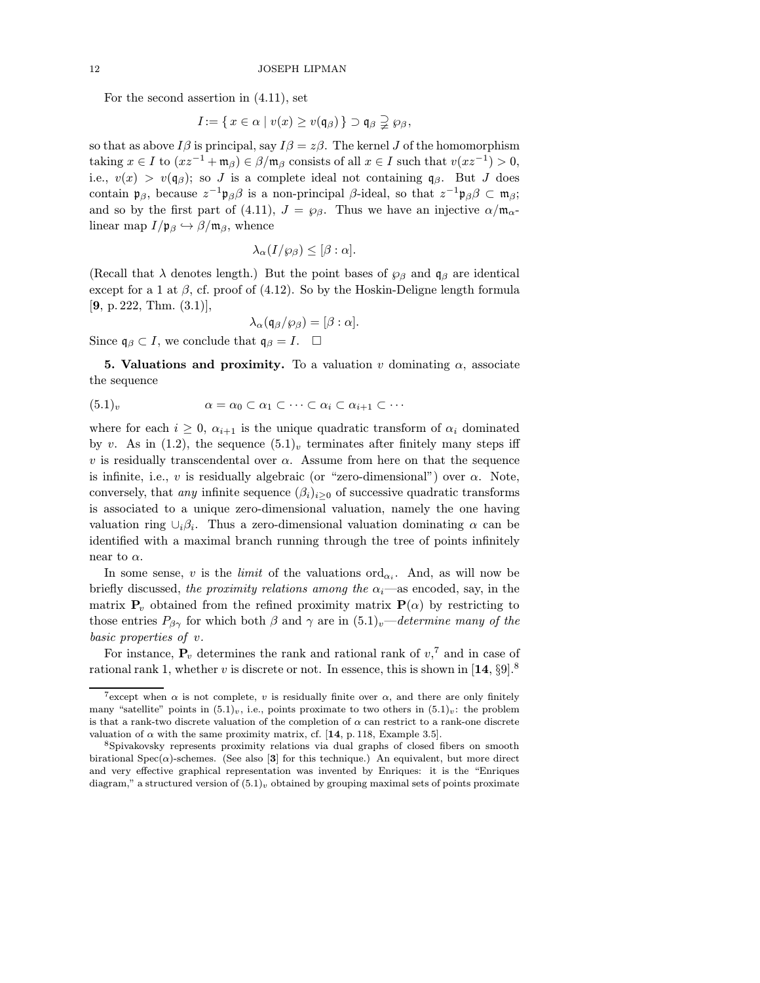For the second assertion in (4.11), set

$$
I\!:=\{\,x\in\alpha\mid v(x)\geq v(\mathfrak{q}_\beta)\,\}\supset\mathfrak{q}_\beta\supsetneqq\wp_\beta,
$$

so that as above  $I\beta$  is principal, say  $I\beta = z\beta$ . The kernel J of the homomorphism taking  $x \in I$  to  $(xz^{-1} + \mathfrak{m}_{\beta}) \in \beta/\mathfrak{m}_{\beta}$  consists of all  $x \in I$  such that  $v(xz^{-1}) > 0$ , i.e.,  $v(x) > v(q_\beta)$ ; so J is a complete ideal not containing q<sub>β</sub>. But J does contain  $\mathfrak{p}_{\beta}$ , because  $z^{-1}\mathfrak{p}_{\beta}\beta$  is a non-principal  $\beta$ -ideal, so that  $z^{-1}\mathfrak{p}_{\beta}\beta \subset \mathfrak{m}_{\beta}$ ; and so by the first part of (4.11),  $J = \wp_{\beta}$ . Thus we have an injective  $\alpha/\mathfrak{m}_{\alpha}$ linear map  $I/\mathfrak{p}_{\beta} \hookrightarrow \beta/\mathfrak{m}_{\beta}$ , whence

$$
\lambda_{\alpha}(I/\wp_{\beta}) \leq [\beta : \alpha].
$$

(Recall that  $\lambda$  denotes length.) But the point bases of  $\wp_\beta$  and  $\mathfrak{q}_\beta$  are identical except for a 1 at  $\beta$ , cf. proof of (4.12). So by the Hoskin-Deligne length formula  $[9, p. 222, Thm. (3.1)],$ 

$$
\lambda_{\alpha}(\mathfrak{q}_{\beta}/\wp_{\beta}) = [\beta : \alpha].
$$

Since  $\mathfrak{q}_{\beta} \subset I$ , we conclude that  $\mathfrak{q}_{\beta} = I$ .  $\Box$ 

**5. Valuations and proximity.** To a valuation v dominating  $\alpha$ , associate the sequence

$$
(5.1)_v \qquad \alpha = \alpha_0 \subset \alpha_1 \subset \cdots \subset \alpha_i \subset \alpha_{i+1} \subset \cdots
$$

where for each  $i \geq 0$ ,  $\alpha_{i+1}$  is the unique quadratic transform of  $\alpha_i$  dominated by v. As in (1.2), the sequence  $(5.1)_v$  terminates after finitely many steps iff v is residually transcendental over  $\alpha$ . Assume from here on that the sequence is infinite, i.e., v is residually algebraic (or "zero-dimensional") over  $\alpha$ . Note, conversely, that *any* infinite sequence  $(\beta_i)_{i\geq 0}$  of successive quadratic transforms is associated to a unique zero-dimensional valuation, namely the one having valuation ring  $\cup_i \beta_i$ . Thus a zero-dimensional valuation dominating  $\alpha$  can be identified with a maximal branch running through the tree of points infinitely near to  $\alpha$ .

In some sense, v is the *limit* of the valuations  $\text{ord}_{\alpha_i}$ . And, as will now be briefly discussed, the proximity relations among the  $\alpha_i$ —as encoded, say, in the matrix  $P_v$  obtained from the refined proximity matrix  $P(\alpha)$  by restricting to those entries  $P_{\beta\gamma}$  for which both  $\beta$  and  $\gamma$  are in  $(5.1)_v$ —determine many of the basic properties of v.

For instance,  $P_v$  determines the rank and rational rank of  $v<sub>1</sub>$ <sup>7</sup> and in case of rational rank 1, whether v is discrete or not. In essence, this is shown in  $[14, \S9]$ .<sup>8</sup>

<sup>&</sup>lt;sup>7</sup>except when  $\alpha$  is not complete, v is residually finite over  $\alpha$ , and there are only finitely many "satellite" points in  $(5.1)_v$ , i.e., points proximate to two others in  $(5.1)_v$ : the problem is that a rank-two discrete valuation of the completion of  $\alpha$  can restrict to a rank-one discrete valuation of  $\alpha$  with the same proximity matrix, cf. [14, p. 118, Example 3.5].

<sup>8</sup>Spivakovsky represents proximity relations via dual graphs of closed fibers on smooth birational Spec $(\alpha)$ -schemes. (See also [3] for this technique.) An equivalent, but more direct and very effective graphical representation was invented by Enriques: it is the "Enriques diagram," a structured version of  $(5.1)<sub>v</sub>$  obtained by grouping maximal sets of points proximate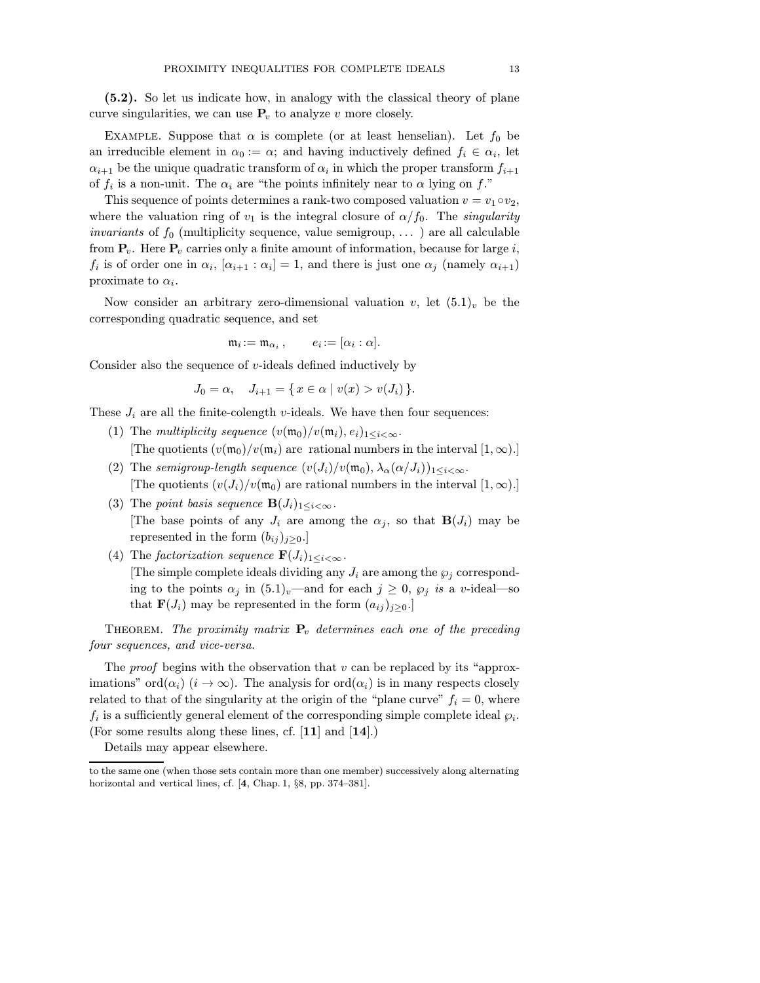(5.2). So let us indicate how, in analogy with the classical theory of plane curve singularities, we can use  $P_v$  to analyze v more closely.

EXAMPLE. Suppose that  $\alpha$  is complete (or at least henselian). Let  $f_0$  be an irreducible element in  $\alpha_0 := \alpha$ ; and having inductively defined  $f_i \in \alpha_i$ , let  $\alpha_{i+1}$  be the unique quadratic transform of  $\alpha_i$  in which the proper transform  $f_{i+1}$ of  $f_i$  is a non-unit. The  $\alpha_i$  are "the points infinitely near to  $\alpha$  lying on f."

This sequence of points determines a rank-two composed valuation  $v = v_1 \circ v_2$ , where the valuation ring of  $v_1$  is the integral closure of  $\alpha/f_0$ . The *singularity invariants* of  $f_0$  (multiplicity sequence, value semigroup, ...) are all calculable from  $P_v$ . Here  $P_v$  carries only a finite amount of information, because for large i,  $f_i$  is of order one in  $\alpha_i$ ,  $[\alpha_{i+1} : \alpha_i] = 1$ , and there is just one  $\alpha_j$  (namely  $\alpha_{i+1}$ ) proximate to  $\alpha_i$ .

Now consider an arbitrary zero-dimensional valuation v, let  $(5.1)_v$  be the corresponding quadratic sequence, and set

$$
\mathfrak{m}_i := \mathfrak{m}_{\alpha_i} , \qquad e_i := [\alpha_i : \alpha].
$$

Consider also the sequence of  $v$ -ideals defined inductively by

$$
J_0 = \alpha, \quad J_{i+1} = \{ x \in \alpha \mid v(x) > v(J_i) \}.
$$

These  $J_i$  are all the finite-colength v-ideals. We have then four sequences:

- (1) The multiplicity sequence  $(v(\mathfrak{m}_0)/v(\mathfrak{m}_i), e_i)_{1 \leq i \leq \infty}$ . [The quotients  $(v(\mathfrak{m}_0)/v(\mathfrak{m}_i)$  are rational numbers in the interval  $[1,\infty)$ .]
- (2) The semigroup-length sequence  $(v(J_i)/v(\mathfrak{m}_0), \lambda_\alpha(\alpha/J_i))_{1 \leq i < \infty}$ . [The quotients  $(v(J_i)/v(\mathfrak{m}_0))$  are rational numbers in the interval  $[1,\infty)$ .]
- (3) The point basis sequence  $\mathbf{B}(J_i)_{1 \leq i \leq \infty}$ . [The base points of any  $J_i$  are among the  $\alpha_j$ , so that  $\mathbf{B}(J_i)$  may be represented in the form  $(b_{ij})_{j\geq0}$ .]
- (4) The factorization sequence  $\mathbf{F}(J_i)_{1 \leq i \leq \infty}$ . [The simple complete ideals dividing any  $J_i$  are among the  $\wp_i$  corresponding to the points  $\alpha_j$  in  $(5.1)_v$ —and for each  $j \geq 0$ ,  $\wp_j$  is a v-ideal—so that  $\mathbf{F}(J_i)$  may be represented in the form  $(a_{ij})_{j\geq0}$ .

THEOREM. The proximity matrix  $P_v$  determines each one of the preceding four sequences, and vice-versa.

The *proof* begins with the observation that  $v$  can be replaced by its "approximations" ord $(\alpha_i)$   $(i \to \infty)$ . The analysis for  $\text{ord}(\alpha_i)$  is in many respects closely related to that of the singularity at the origin of the "plane curve"  $f_i = 0$ , where  $f_i$  is a sufficiently general element of the corresponding simple complete ideal  $\wp_i$ . (For some results along these lines, cf. [11] and [14].)

Details may appear elsewhere.

to the same one (when those sets contain more than one member) successively along alternating horizontal and vertical lines, cf. [4, Chap. 1, §8, pp. 374–381].